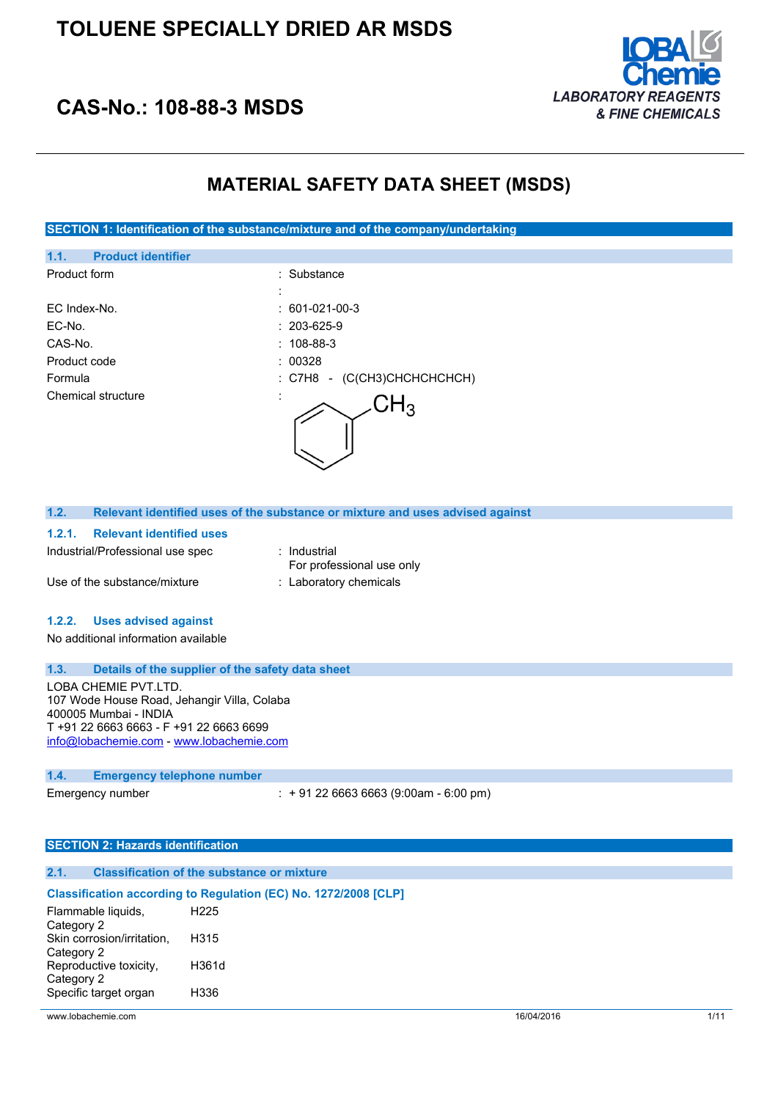

## **CAS-No.: 108-88-3 MSDS**

### **MATERIAL SAFETY DATA SHEET (MSDS)**

**SECTION 1: Identification of the substance/mixture and of the company/undertaking**

| <b>Product identifier</b><br>1.1. |                                 |
|-----------------------------------|---------------------------------|
| Product form                      | : Substance                     |
|                                   |                                 |
| EC Index-No.                      | $: 601-021-00-3$                |
| EC-No.                            | $: 203-625-9$                   |
| CAS-No.                           | $: 108 - 88 - 3$                |
| Product code                      | : 00328                         |
| Formula                           | (C(CH3)CHCHCHCHCH)<br>: C7H8 -  |
| <b>Chemical structure</b>         | ٠<br>$\mathsf{CH}_3$<br>$\cdot$ |

| 1.2.   |                                  | Relevant identified uses of the substance or mixture and uses advised against |
|--------|----------------------------------|-------------------------------------------------------------------------------|
| 1.2.1. | <b>Relevant identified uses</b>  |                                                                               |
|        | Industrial/Professional use spec | : Industrial                                                                  |
|        |                                  | For professional use only                                                     |

Use of the substance/mixture : Laboratory chemicals

### **1.2.2. Uses advised against**

No additional information available

### **1.3. Details of the supplier of the safety data sheet**

LOBA CHEMIE PVT.LTD. 107 Wode House Road, Jehangir Villa, Colaba 400005 Mumbai - INDIA T +91 22 6663 6663 - F +91 22 6663 6699 [info@lobachemie.com](mailto:info@lobachemie.com) - <www.lobachemie.com>

#### **1.4. Emergency telephone number**

Emergency number : + 91 22 6663 6663 (9:00am - 6:00 pm)

### **SECTION 2: Hazards identification**

### **2.1. Classification of the substance or mixture**

#### **Classification according to Regulation (EC) No. 1272/2008 [CLP]** Flammable liquids, H225

| Category 2                 |       |
|----------------------------|-------|
| Skin corrosion/irritation, | H315  |
| Category 2                 |       |
| Reproductive toxicity,     | H361d |
| Category 2                 |       |
| Specific target organ      | H336  |
|                            |       |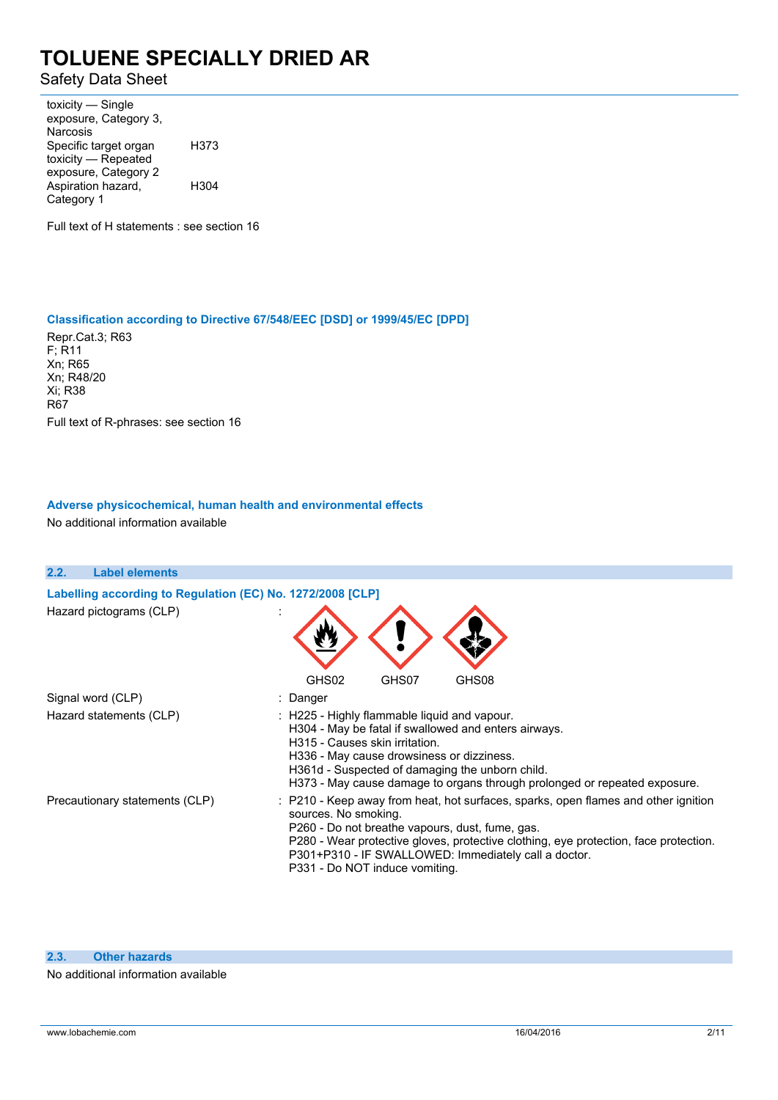Safety Data Sheet

toxicity — Single exposure, Category 3, Narcosis Specific target organ toxicity — Repeated exposure, Category 2 H373 Aspiration hazard, Category 1 H304

Full text of H statements : see section 16

#### **Classification according to Directive 67/548/EEC [DSD] or 1999/45/EC [DPD]**

Repr.Cat.3; R63 F; R11 Xn; R65 Xn; R48/20 Xi; R38 R67 Full text of R-phrases: see section 16

### **Adverse physicochemical, human health and environmental effects**

No additional information available

| 2.2. | <b>Label elements</b>                                                                 |                                                                                                                                                                                                                                                                                                                                                 |
|------|---------------------------------------------------------------------------------------|-------------------------------------------------------------------------------------------------------------------------------------------------------------------------------------------------------------------------------------------------------------------------------------------------------------------------------------------------|
|      | Labelling according to Regulation (EC) No. 1272/2008 [CLP]<br>Hazard pictograms (CLP) |                                                                                                                                                                                                                                                                                                                                                 |
|      |                                                                                       | GHS02<br>GHS07<br>GHS08                                                                                                                                                                                                                                                                                                                         |
|      | Signal word (CLP)                                                                     | : Danger                                                                                                                                                                                                                                                                                                                                        |
|      | Hazard statements (CLP)                                                               | : H225 - Highly flammable liquid and vapour.<br>H304 - May be fatal if swallowed and enters airways.<br>H315 - Causes skin irritation.<br>H336 - May cause drowsiness or dizziness.<br>H361d - Suspected of damaging the unborn child.<br>H373 - May cause damage to organs through prolonged or repeated exposure.                             |
|      | Precautionary statements (CLP)                                                        | : P210 - Keep away from heat, hot surfaces, sparks, open flames and other ignition<br>sources. No smoking.<br>P260 - Do not breathe vapours, dust, fume, gas.<br>P280 - Wear protective gloves, protective clothing, eye protection, face protection.<br>P301+P310 - IF SWALLOWED: Immediately call a doctor.<br>P331 - Do NOT induce vomiting. |

#### **2.3. Other hazards**

No additional information available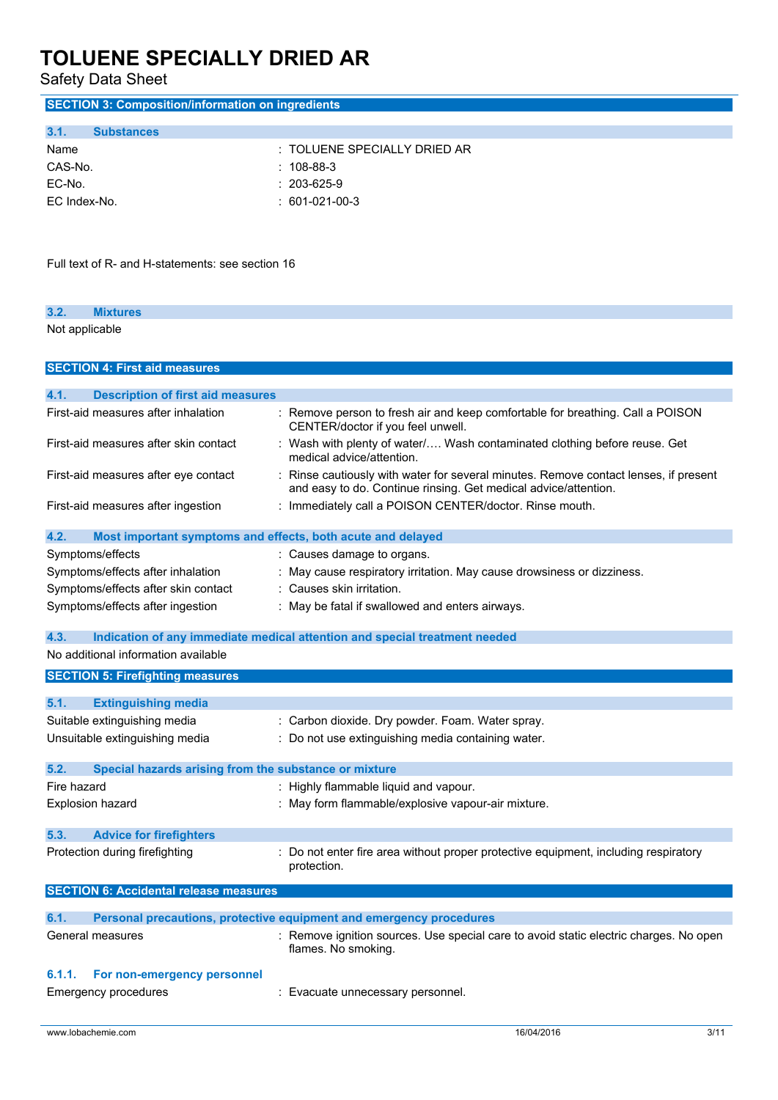Safety Data Sheet

| <b>SECTION 3: Composition/information on ingredients</b>            |                                                                                                                                                       |
|---------------------------------------------------------------------|-------------------------------------------------------------------------------------------------------------------------------------------------------|
| 3.1.<br><b>Substances</b>                                           |                                                                                                                                                       |
| Name                                                                | TOLUENE SPECIALLY DRIED AR                                                                                                                            |
| CAS-No.                                                             | 108-88-3                                                                                                                                              |
| EC-No.                                                              | 203-625-9                                                                                                                                             |
| EC Index-No.                                                        | 601-021-00-3                                                                                                                                          |
|                                                                     |                                                                                                                                                       |
| Full text of R- and H-statements: see section 16                    |                                                                                                                                                       |
| 3.2.<br><b>Mixtures</b>                                             |                                                                                                                                                       |
| Not applicable                                                      |                                                                                                                                                       |
| <b>SECTION 4: First aid measures</b>                                |                                                                                                                                                       |
| 4.1.<br><b>Description of first aid measures</b>                    |                                                                                                                                                       |
| First-aid measures after inhalation                                 | Remove person to fresh air and keep comfortable for breathing. Call a POISON<br>CENTER/doctor if you feel unwell.                                     |
| First-aid measures after skin contact                               | Wash with plenty of water/ Wash contaminated clothing before reuse. Get<br>medical advice/attention.                                                  |
| First-aid measures after eye contact                                | Rinse cautiously with water for several minutes. Remove contact lenses, if present<br>and easy to do. Continue rinsing. Get medical advice/attention. |
| First-aid measures after ingestion                                  | Immediately call a POISON CENTER/doctor. Rinse mouth.                                                                                                 |
| 4.2.<br>Most important symptoms and effects, both acute and delayed |                                                                                                                                                       |
| Symptoms/effects                                                    | : Causes damage to organs.                                                                                                                            |
| Symptoms/effects after inhalation                                   | : May cause respiratory irritation. May cause drowsiness or dizziness.                                                                                |
| Symptoms/effects after skin contact                                 | : Causes skin irritation.                                                                                                                             |
| Symptoms/effects after ingestion                                    | : May be fatal if swallowed and enters airways.                                                                                                       |
| 4.3.                                                                | Indication of any immediate medical attention and special treatment needed                                                                            |
| No additional information available                                 |                                                                                                                                                       |
| <b>SECTION 5: Firefighting measures</b>                             |                                                                                                                                                       |
| 5.1.<br><b>Extinguishing media</b>                                  |                                                                                                                                                       |
| Suitable extinguishing media                                        | : Carbon dioxide. Dry powder. Foam. Water spray.                                                                                                      |
| Unsuitable extinguishing media                                      | : Do not use extinguishing media containing water.                                                                                                    |
| 5.2.<br>Special hazards arising from the substance or mixture       |                                                                                                                                                       |
| Fire hazard                                                         | : Highly flammable liquid and vapour.                                                                                                                 |
| Explosion hazard                                                    | : May form flammable/explosive vapour-air mixture.                                                                                                    |
|                                                                     |                                                                                                                                                       |
| 5.3.<br><b>Advice for firefighters</b>                              |                                                                                                                                                       |
| Protection during firefighting                                      | : Do not enter fire area without proper protective equipment, including respiratory<br>protection.                                                    |
| <b>SECTION 6: Accidental release measures</b>                       |                                                                                                                                                       |
| 6.1.                                                                | Personal precautions, protective equipment and emergency procedures                                                                                   |
| General measures                                                    | : Remove ignition sources. Use special care to avoid static electric charges. No open<br>flames. No smoking.                                          |
| 6.1.1.<br>For non-emergency personnel                               |                                                                                                                                                       |
| <b>Emergency procedures</b>                                         | : Evacuate unnecessary personnel.                                                                                                                     |
| www.lobachemie.com                                                  | 16/04/2016<br>3/11                                                                                                                                    |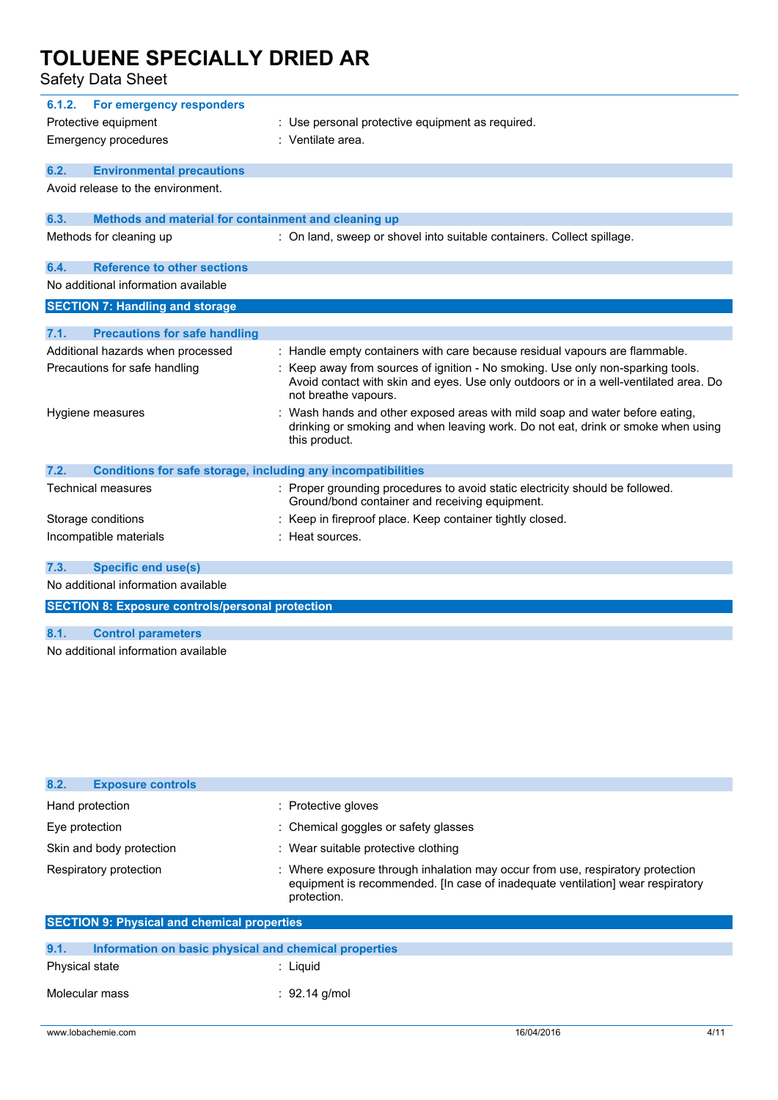Safety Data Sheet

| 6.1.2. | For emergency responders<br>Protective equipment<br><b>Emergency procedures</b> | : Use personal protective equipment as required.<br>: Ventilate area.                                                                                                                                                                                                          |
|--------|---------------------------------------------------------------------------------|--------------------------------------------------------------------------------------------------------------------------------------------------------------------------------------------------------------------------------------------------------------------------------|
| 6.2.   | <b>Environmental precautions</b>                                                |                                                                                                                                                                                                                                                                                |
|        | Avoid release to the environment.                                               |                                                                                                                                                                                                                                                                                |
| 6.3.   | Methods and material for containment and cleaning up                            |                                                                                                                                                                                                                                                                                |
|        | Methods for cleaning up                                                         | : On land, sweep or shovel into suitable containers. Collect spillage.                                                                                                                                                                                                         |
| 6.4.   | <b>Reference to other sections</b>                                              |                                                                                                                                                                                                                                                                                |
|        | No additional information available                                             |                                                                                                                                                                                                                                                                                |
|        | <b>SECTION 7: Handling and storage</b>                                          |                                                                                                                                                                                                                                                                                |
|        |                                                                                 |                                                                                                                                                                                                                                                                                |
| 7.1.   | <b>Precautions for safe handling</b>                                            |                                                                                                                                                                                                                                                                                |
|        | Additional hazards when processed<br>Precautions for safe handling              | : Handle empty containers with care because residual vapours are flammable.<br>: Keep away from sources of ignition - No smoking. Use only non-sparking tools.<br>Avoid contact with skin and eyes. Use only outdoors or in a well-ventilated area. Do<br>not breathe vapours. |
|        | Hygiene measures                                                                | Wash hands and other exposed areas with mild soap and water before eating,<br>drinking or smoking and when leaving work. Do not eat, drink or smoke when using<br>this product.                                                                                                |
| 7.2.   | <b>Conditions for safe storage, including any incompatibilities</b>             |                                                                                                                                                                                                                                                                                |
|        | <b>Technical measures</b>                                                       | : Proper grounding procedures to avoid static electricity should be followed.<br>Ground/bond container and receiving equipment.                                                                                                                                                |
|        | Storage conditions                                                              | Keep in fireproof place. Keep container tightly closed.                                                                                                                                                                                                                        |
|        | Incompatible materials                                                          | Heat sources.                                                                                                                                                                                                                                                                  |
| 7.3.   | <b>Specific end use(s)</b>                                                      |                                                                                                                                                                                                                                                                                |
|        | No additional information available                                             |                                                                                                                                                                                                                                                                                |
|        | <b>SECTION 8: Exposure controls/personal protection</b>                         |                                                                                                                                                                                                                                                                                |
| 8.1.   | <b>Control parameters</b>                                                       |                                                                                                                                                                                                                                                                                |

No additional information available

| 8.2.<br><b>Exposure controls</b>                              |                                                                                                                                                                               |  |  |  |
|---------------------------------------------------------------|-------------------------------------------------------------------------------------------------------------------------------------------------------------------------------|--|--|--|
| Hand protection                                               | : Protective gloves                                                                                                                                                           |  |  |  |
| Eye protection                                                | : Chemical goggles or safety glasses                                                                                                                                          |  |  |  |
| Skin and body protection                                      | : Wear suitable protective clothing                                                                                                                                           |  |  |  |
| Respiratory protection                                        | : Where exposure through inhalation may occur from use, respiratory protection<br>equipment is recommended. In case of inadequate ventilation wear respiratory<br>protection. |  |  |  |
|                                                               | <b>SECTION 9: Physical and chemical properties</b>                                                                                                                            |  |  |  |
| 9.1.<br>Information on basic physical and chemical properties |                                                                                                                                                                               |  |  |  |
| <b>Physical state</b>                                         | $:$ Liquid                                                                                                                                                                    |  |  |  |
| Molecular mass                                                | : 92.14 g/mol                                                                                                                                                                 |  |  |  |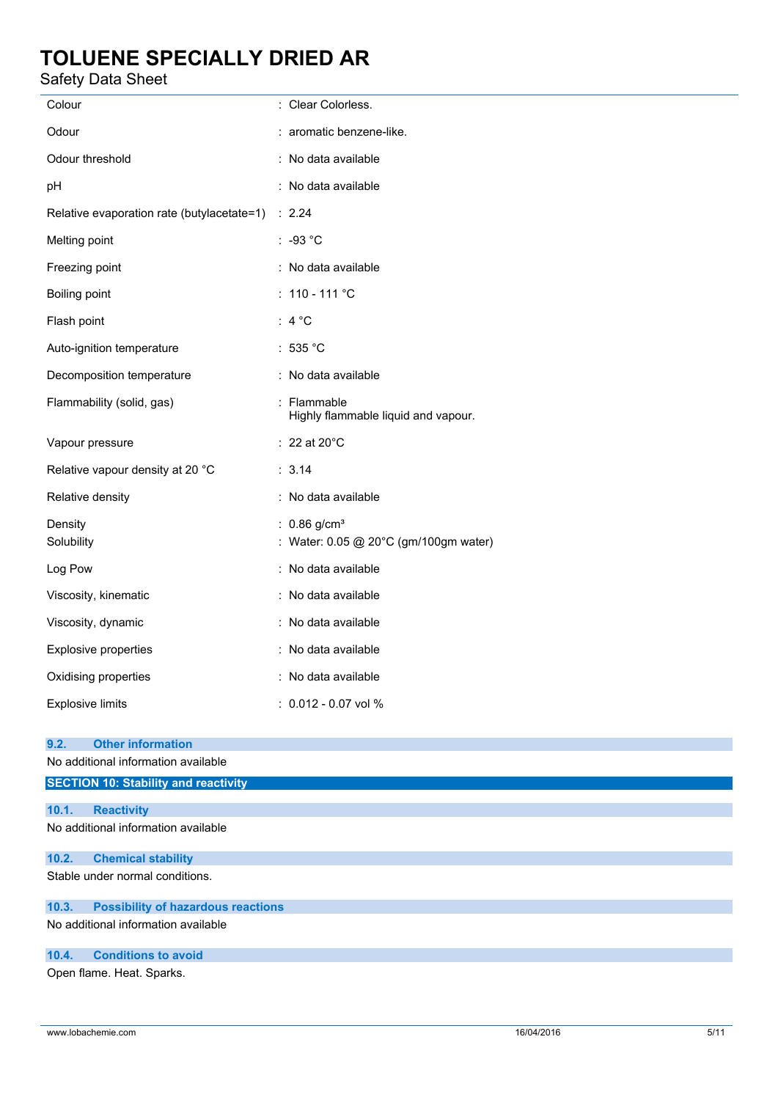### Safety Data Sheet

| Colour                                                                  | : Clear Colorless.                                                  |
|-------------------------------------------------------------------------|---------------------------------------------------------------------|
| Odour                                                                   | : aromatic benzene-like.                                            |
| Odour threshold                                                         | : No data available                                                 |
| pH                                                                      | : No data available                                                 |
| Relative evaporation rate (butylacetate=1) : 2.24                       |                                                                     |
| Melting point                                                           | $: -93 °C$                                                          |
| Freezing point                                                          | : No data available                                                 |
| Boiling point                                                           | : $110 - 111$ °C                                                    |
| Flash point                                                             | : $4^{\circ}$ C                                                     |
| Auto-ignition temperature                                               | : 535 °C                                                            |
| Decomposition temperature                                               | : No data available                                                 |
| Flammability (solid, gas)                                               | : Flammable<br>Highly flammable liquid and vapour.                  |
| Vapour pressure                                                         | $: 22$ at 20 $^{\circ}$ C                                           |
| Relative vapour density at 20 °C                                        | : 3.14                                                              |
| Relative density                                                        | : No data available                                                 |
| Density<br>Solubility                                                   | : $0.86$ g/cm <sup>3</sup><br>: Water: 0.05 @ 20°C (gm/100gm water) |
| Log Pow                                                                 | : No data available                                                 |
| Viscosity, kinematic                                                    | : No data available                                                 |
| Viscosity, dynamic                                                      | : No data available                                                 |
| Explosive properties                                                    | : No data available                                                 |
| Oxidising properties                                                    | : No data available                                                 |
| <b>Explosive limits</b>                                                 | $: 0.012 - 0.07$ vol %                                              |
| <b>Other information</b><br>9.2.<br>No additional information available |                                                                     |
| <b>SECTION 10: Stability and reactivity</b>                             |                                                                     |
| 10.1.<br><b>Reactivity</b>                                              |                                                                     |
| No additional information available                                     |                                                                     |
|                                                                         |                                                                     |
| 10.2.<br><b>Chemical stability</b>                                      |                                                                     |
| Stable under normal conditions.                                         |                                                                     |
| <b>Possibility of hazardous reactions</b><br>10.3.                      |                                                                     |

No additional information available

### **10.4. Conditions to avoid**

Open flame. Heat. Sparks.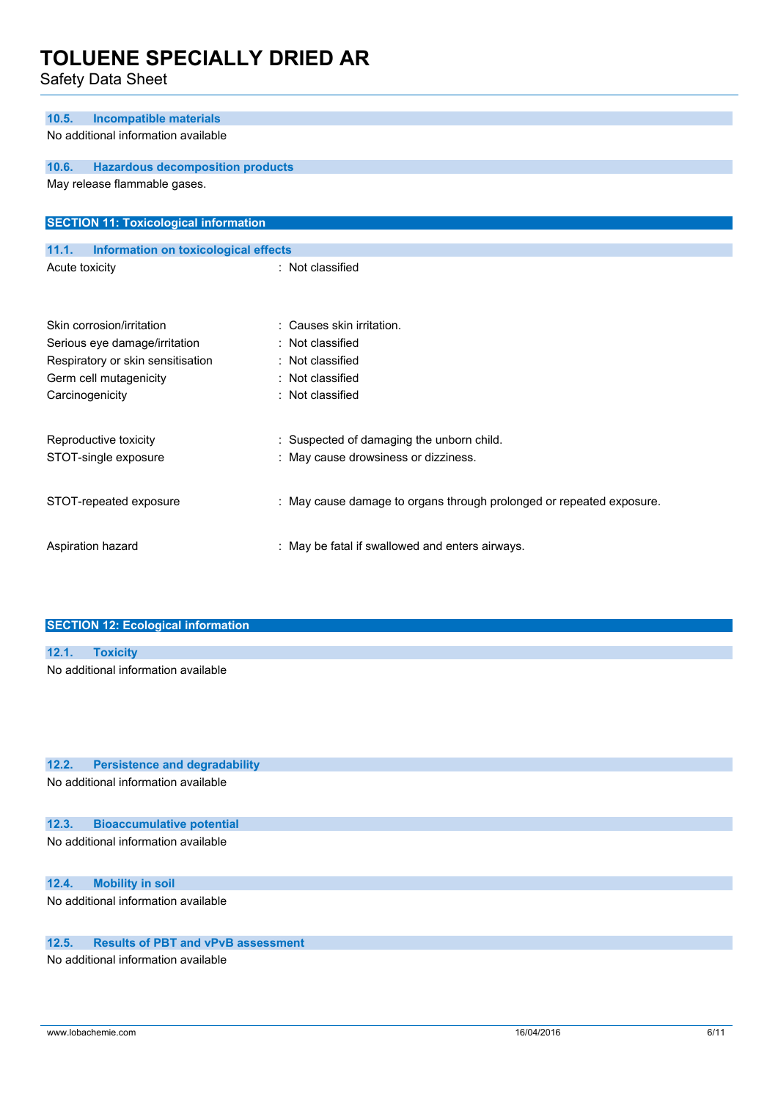Safety Data Sheet

| <b>Incompatible materials</b><br>10.5.                                               |                                                                      |
|--------------------------------------------------------------------------------------|----------------------------------------------------------------------|
| No additional information available                                                  |                                                                      |
|                                                                                      |                                                                      |
| 10.6.<br><b>Hazardous decomposition products</b>                                     |                                                                      |
| May release flammable gases.                                                         |                                                                      |
| <b>SECTION 11: Toxicological information</b>                                         |                                                                      |
| 11.1.<br>Information on toxicological effects                                        |                                                                      |
| Acute toxicity                                                                       | : Not classified                                                     |
|                                                                                      |                                                                      |
|                                                                                      |                                                                      |
| Skin corrosion/irritation                                                            | : Causes skin irritation.                                            |
| Serious eye damage/irritation                                                        | : Not classified                                                     |
| Respiratory or skin sensitisation                                                    | : Not classified                                                     |
| Germ cell mutagenicity                                                               | Not classified<br>: Not classified                                   |
| Carcinogenicity                                                                      |                                                                      |
| Reproductive toxicity                                                                | : Suspected of damaging the unborn child.                            |
| STOT-single exposure                                                                 | : May cause drowsiness or dizziness.                                 |
|                                                                                      |                                                                      |
| STOT-repeated exposure                                                               | : May cause damage to organs through prolonged or repeated exposure. |
|                                                                                      |                                                                      |
| Aspiration hazard                                                                    | : May be fatal if swallowed and enters airways.                      |
|                                                                                      |                                                                      |
|                                                                                      |                                                                      |
| <b>SECTION 12: Ecological information</b>                                            |                                                                      |
| 12.1.<br><b>Toxicity</b>                                                             |                                                                      |
| No additional information available                                                  |                                                                      |
|                                                                                      |                                                                      |
|                                                                                      |                                                                      |
|                                                                                      |                                                                      |
|                                                                                      |                                                                      |
| 12.2.<br><b>Persistence and degradability</b><br>No additional information available |                                                                      |
|                                                                                      |                                                                      |
| 12.3.<br><b>Bioaccumulative potential</b>                                            |                                                                      |
| No additional information available                                                  |                                                                      |
|                                                                                      |                                                                      |
| 12.4.<br><b>Mobility in soil</b>                                                     |                                                                      |
| No additional information available                                                  |                                                                      |
| 12.5.<br><b>Results of PBT and vPvB assessment</b>                                   |                                                                      |

No additional information available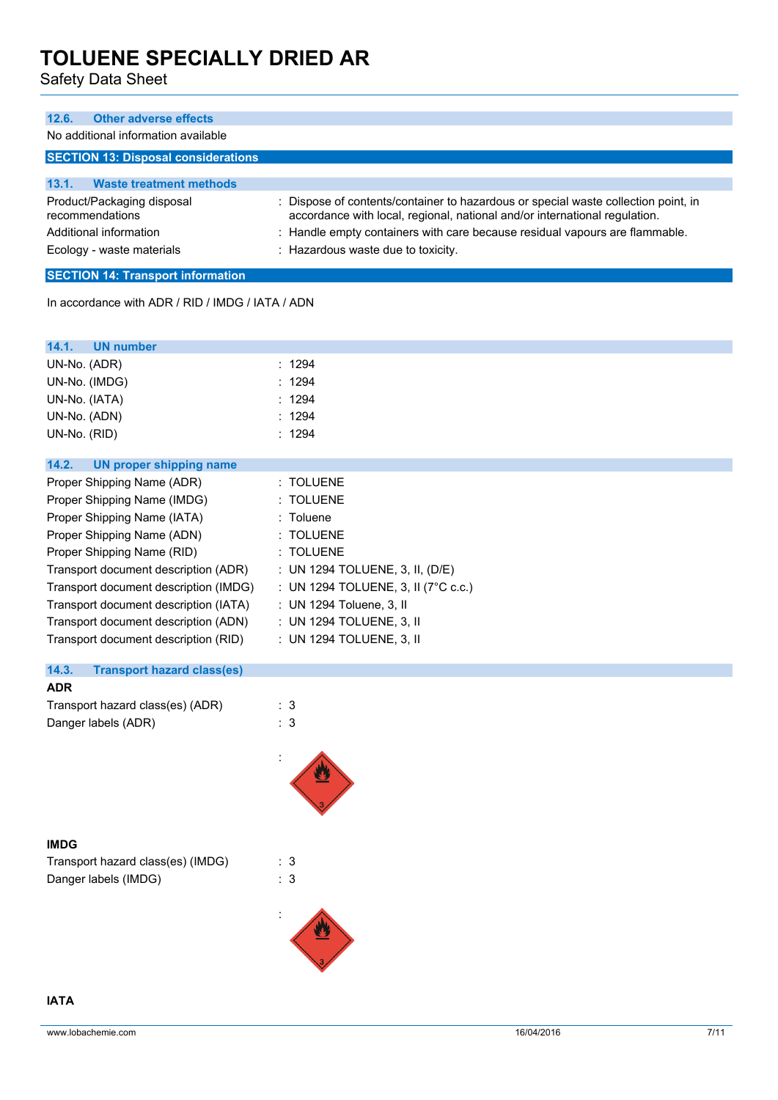Safety Data Sheet

| <b>Other adverse effects</b><br>12.6.                                                                |                                                                                                                                                                                                                                                                                       |  |
|------------------------------------------------------------------------------------------------------|---------------------------------------------------------------------------------------------------------------------------------------------------------------------------------------------------------------------------------------------------------------------------------------|--|
| No additional information available                                                                  |                                                                                                                                                                                                                                                                                       |  |
| <b>SECTION 13: Disposal considerations</b>                                                           |                                                                                                                                                                                                                                                                                       |  |
| <b>Waste treatment methods</b><br>13.1.                                                              |                                                                                                                                                                                                                                                                                       |  |
| Product/Packaging disposal<br>recommendations<br>Additional information<br>Ecology - waste materials | : Dispose of contents/container to hazardous or special waste collection point, in<br>accordance with local, regional, national and/or international regulation.<br>: Handle empty containers with care because residual vapours are flammable.<br>: Hazardous waste due to toxicity. |  |
| <b>SECTION 14: Transport information</b>                                                             |                                                                                                                                                                                                                                                                                       |  |
| In accordance with ADR / RID / IMDG / IATA / ADN                                                     |                                                                                                                                                                                                                                                                                       |  |
| 14.1.<br>UN number                                                                                   |                                                                                                                                                                                                                                                                                       |  |

| : 1294                                         |
|------------------------------------------------|
| : 1294                                         |
| : 1294                                         |
| : 1294                                         |
| : 1294                                         |
|                                                |
|                                                |
| : TOLUENE                                      |
| : TOLUENE                                      |
| : Toluene                                      |
| : TOLUENE                                      |
| : TOLUENE                                      |
| : UN 1294 TOLUENE, 3, II, $(D/E)$              |
| : UN 1294 TOLUENE, 3, II ( $7^{\circ}$ C c.c.) |
| : UN 1294 Toluene, 3, II                       |
| : UN 1294 TOLUENE, 3, II                       |
| : UN 1294 TOLUENE, 3, II                       |
|                                                |

### **14.3. Transport hazard class(es)**

| <b>ADR</b>                       |     |
|----------------------------------|-----|
| Transport hazard class(es) (ADR) | : 3 |
| Danger labels (ADR)              | : 3 |



### **IMDG**

| Transport hazard class(es) (IMDG) | : 3 |
|-----------------------------------|-----|
| Danger labels (IMDG)              | : 3 |

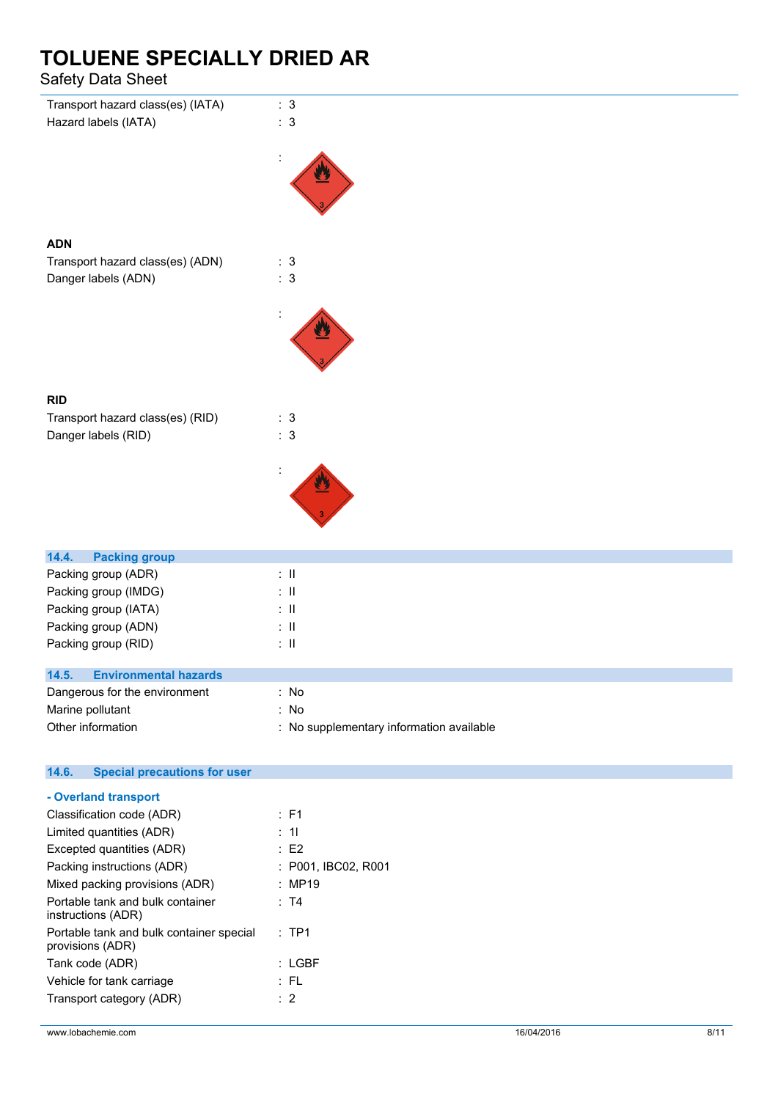Safety Data Sheet

| Transport hazard class(es) (IATA)<br>Hazard labels (IATA)    | : 3<br>: 3                               |
|--------------------------------------------------------------|------------------------------------------|
|                                                              |                                          |
| <b>ADN</b>                                                   |                                          |
| Transport hazard class(es) (ADN)                             | : 3                                      |
| Danger labels (ADN)                                          | : 3                                      |
|                                                              |                                          |
|                                                              |                                          |
| <b>RID</b>                                                   |                                          |
| Transport hazard class(es) (RID)                             | $\therefore$ 3                           |
| Danger labels (RID)                                          | $\therefore$ 3                           |
|                                                              |                                          |
|                                                              |                                          |
|                                                              |                                          |
|                                                              |                                          |
|                                                              |                                          |
|                                                              |                                          |
| 14.4.<br><b>Packing group</b>                                |                                          |
| Packing group (ADR)                                          | $\colon \, \mathrm{I\!I}$                |
| Packing group (IMDG)                                         | $\colon \, \mathrm{I\!I}$                |
| Packing group (IATA)                                         | $\therefore$ H                           |
| Packing group (ADN)                                          | $\therefore$ H                           |
| Packing group (RID)                                          | $\therefore$ H                           |
| 14.5.<br><b>Environmental hazards</b>                        |                                          |
| Dangerous for the environment                                | : No                                     |
| Marine pollutant                                             | : No                                     |
| Other information                                            | : No supplementary information available |
|                                                              |                                          |
| 14.6.<br><b>Special precautions for user</b>                 |                                          |
| - Overland transport                                         |                                          |
| Classification code (ADR)                                    | : F1                                     |
| Limited quantities (ADR)                                     | : 11                                     |
| Excepted quantities (ADR)                                    | $\therefore$ E2                          |
| Packing instructions (ADR)                                   | : P001, IBC02, R001                      |
| Mixed packing provisions (ADR)                               | : MP19                                   |
| Portable tank and bulk container                             | : T4                                     |
| instructions (ADR)                                           |                                          |
| Portable tank and bulk container special<br>provisions (ADR) | :TP1                                     |
| Tank code (ADR)                                              | $:$ LGBF                                 |
| Vehicle for tank carriage                                    | $:$ FL                                   |

Transport category (ADR) : 2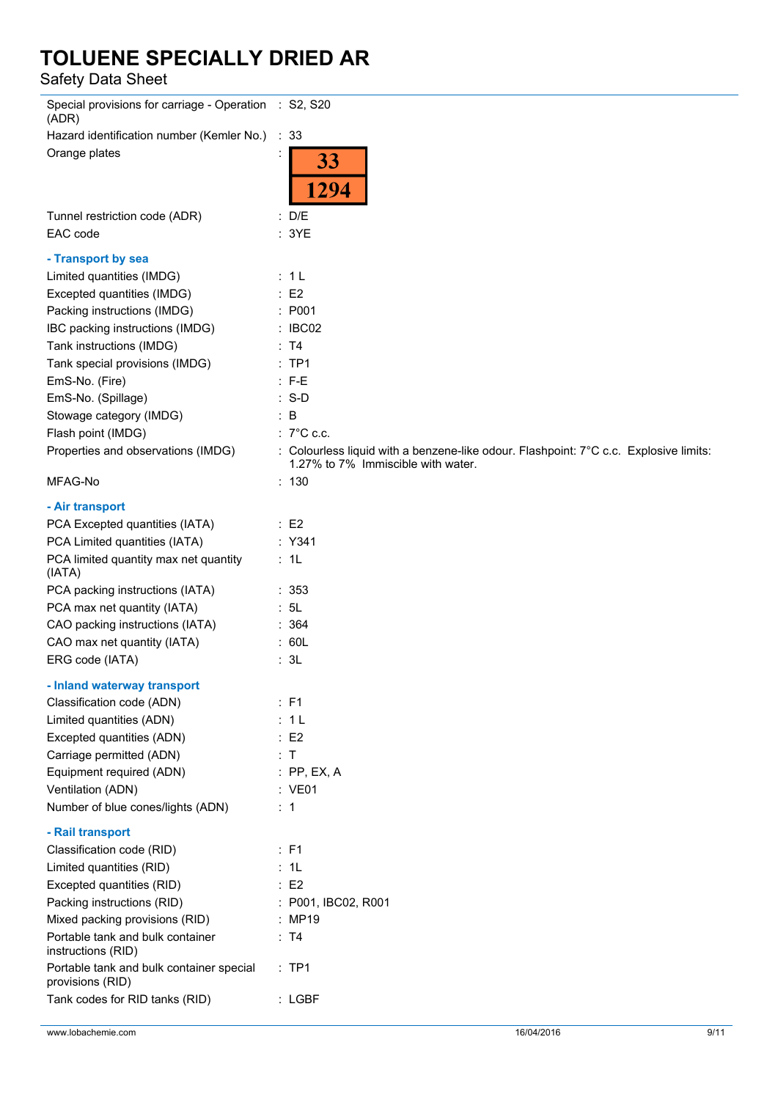Safety Data Sheet

| Special provisions for carriage - Operation : S2, S20<br>(ADR) |                                                                                                                             |
|----------------------------------------------------------------|-----------------------------------------------------------------------------------------------------------------------------|
| Hazard identification number (Kemler No.)                      | : 33                                                                                                                        |
| Orange plates                                                  | 33<br>1294                                                                                                                  |
| Tunnel restriction code (ADR)<br>EAC code                      | : D/E<br>: 3YE                                                                                                              |
| - Transport by sea                                             |                                                                                                                             |
| Limited quantities (IMDG)                                      | : 1L                                                                                                                        |
| Excepted quantities (IMDG)                                     | E2                                                                                                                          |
| Packing instructions (IMDG)                                    | : P <sub>001</sub>                                                                                                          |
| IBC packing instructions (IMDG)                                | : IBCO2                                                                                                                     |
| Tank instructions (IMDG)                                       | : T4                                                                                                                        |
| Tank special provisions (IMDG)                                 | $:$ TP1                                                                                                                     |
| EmS-No. (Fire)                                                 | $: F-E$                                                                                                                     |
| EmS-No. (Spillage)                                             | $: S-D$                                                                                                                     |
| Stowage category (IMDG)                                        | $\therefore$ B                                                                                                              |
| Flash point (IMDG)                                             | : $7^{\circ}$ C c.c.                                                                                                        |
| Properties and observations (IMDG)                             | : Colourless liquid with a benzene-like odour. Flashpoint: 7°C c.c. Explosive limits:<br>1.27% to 7% Immiscible with water. |
| MFAG-No                                                        | : 130                                                                                                                       |
| - Air transport                                                |                                                                                                                             |
| PCA Excepted quantities (IATA)                                 | $\therefore$ E2                                                                                                             |
| PCA Limited quantities (IATA)                                  | : Y341                                                                                                                      |
| PCA limited quantity max net quantity<br>(IATA)                | : 1L                                                                                                                        |
| PCA packing instructions (IATA)                                | :353                                                                                                                        |
| PCA max net quantity (IATA)                                    | : 5L                                                                                                                        |
| CAO packing instructions (IATA)                                | : 364                                                                                                                       |
| CAO max net quantity (IATA)                                    | : 60L                                                                                                                       |
| ERG code (IATA)                                                | : 3L                                                                                                                        |
| - Inland waterway transport                                    |                                                                                                                             |
| Classification code (ADN)                                      | $:$ F1                                                                                                                      |
| Limited quantities (ADN)                                       | : 1L                                                                                                                        |
| Excepted quantities (ADN)                                      | $\therefore$ E2                                                                                                             |
| Carriage permitted (ADN)                                       | : T                                                                                                                         |
| Equipment required (ADN)                                       | $:$ PP, EX, A                                                                                                               |
| Ventilation (ADN)                                              | : VE01                                                                                                                      |
| Number of blue cones/lights (ADN)                              | $\therefore$ 1                                                                                                              |
| - Rail transport                                               |                                                                                                                             |
| Classification code (RID)                                      | $:$ F1                                                                                                                      |
| Limited quantities (RID)                                       | : 1L                                                                                                                        |
| Excepted quantities (RID)                                      | : E2                                                                                                                        |
| Packing instructions (RID)                                     | : P001, IBC02, R001                                                                                                         |
| Mixed packing provisions (RID)                                 | : MP19                                                                                                                      |
| Portable tank and bulk container                               | : T4                                                                                                                        |
| instructions (RID)                                             |                                                                                                                             |
| Portable tank and bulk container special<br>provisions (RID)   | $:$ TP1                                                                                                                     |
| Tank codes for RID tanks (RID)                                 | : LGBF                                                                                                                      |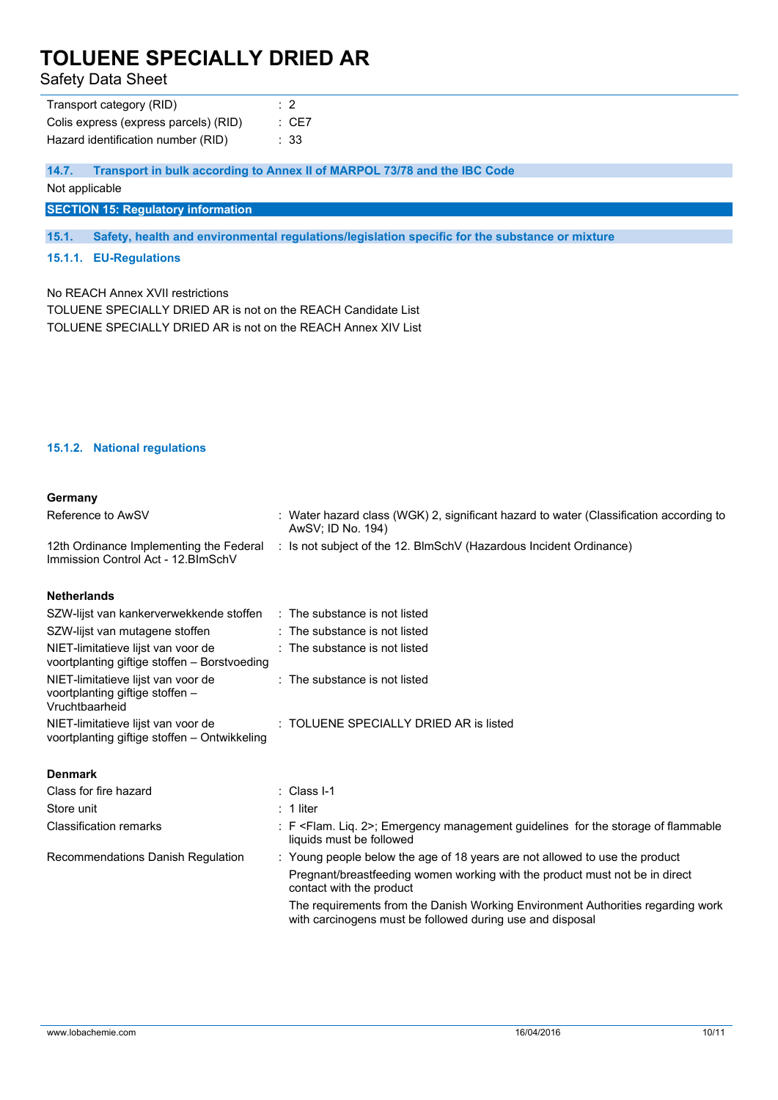Safety Data Sheet

| Transport category (RID)              | $\cdot$ 2        |
|---------------------------------------|------------------|
| Colis express (express parcels) (RID) | $\therefore$ CE7 |
| Hazard identification number (RID)    | : 33             |

**14.7. Transport in bulk according to Annex II of MARPOL 73/78 and the IBC Code**

Not applicable

**SECTION 15: Regulatory information**

**15.1. Safety, health and environmental regulations/legislation specific for the substance or mixture**

#### **15.1.1. EU-Regulations**

No REACH Annex XVII restrictions

TOLUENE SPECIALLY DRIED AR is not on the REACH Candidate List TOLUENE SPECIALLY DRIED AR is not on the REACH Annex XIV List

#### **15.1.2. National regulations**

#### **Germany**

| Reference to AwSV                                                                       | : Water hazard class (WGK) 2, significant hazard to water (Classification according to<br>AwSV: ID No. 194)                                  |
|-----------------------------------------------------------------------------------------|----------------------------------------------------------------------------------------------------------------------------------------------|
| 12th Ordinance Implementing the Federal<br>Immission Control Act - 12. BlmSchV          | : Is not subject of the 12. BlmSchV (Hazardous Incident Ordinance)                                                                           |
| <b>Netherlands</b>                                                                      |                                                                                                                                              |
| SZW-lijst van kankerverwekkende stoffen                                                 | : The substance is not listed                                                                                                                |
| SZW-lijst van mutagene stoffen                                                          | : The substance is not listed                                                                                                                |
| NIET-limitatieve lijst van voor de<br>voortplanting giftige stoffen - Borstvoeding      | : The substance is not listed                                                                                                                |
| NIET-limitatieve lijst van voor de<br>voortplanting giftige stoffen -<br>Vruchtbaarheid | : The substance is not listed                                                                                                                |
| NIET-limitatieve lijst van voor de<br>voortplanting giftige stoffen - Ontwikkeling      | : TOLUENE SPECIALLY DRIED AR is listed                                                                                                       |
| <b>Denmark</b>                                                                          |                                                                                                                                              |
| Class for fire hazard                                                                   | $\therefore$ Class I-1                                                                                                                       |
| Store unit                                                                              | $: 1$ liter                                                                                                                                  |
| <b>Classification remarks</b>                                                           | $\pm$ F <flam. 2="" lig.="">: Emergency management quidelines for the storage of flammable<br/>liquids must be followed</flam.>              |
| Recommendations Danish Regulation                                                       | : Young people below the age of 18 years are not allowed to use the product                                                                  |
|                                                                                         | Pregnant/breastfeeding women working with the product must not be in direct<br>contact with the product                                      |
|                                                                                         | The requirements from the Danish Working Environment Authorities regarding work<br>with carcinogens must be followed during use and disposal |